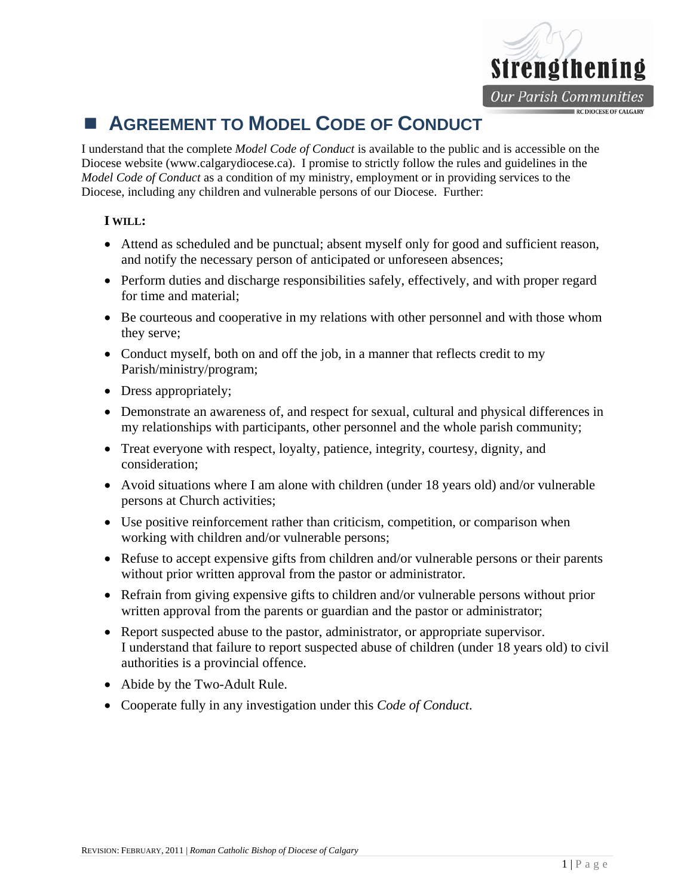

## **AGREEMENT TO MODEL CODE OF CONDUCT**

I understand that the complete *Model Code of Conduct* is available to the public and is accessible on the Diocese website (www.calgarydiocese.ca). I promise to strictly follow the rules and guidelines in the *Model Code of Conduct* as a condition of my ministry, employment or in providing services to the Diocese, including any children and vulnerable persons of our Diocese. Further:

## **I WILL:**

- Attend as scheduled and be punctual; absent myself only for good and sufficient reason, and notify the necessary person of anticipated or unforeseen absences;
- Perform duties and discharge responsibilities safely, effectively, and with proper regard for time and material;
- Be courteous and cooperative in my relations with other personnel and with those whom they serve;
- Conduct myself, both on and off the job, in a manner that reflects credit to my Parish/ministry/program;
- Dress appropriately;
- Demonstrate an awareness of, and respect for sexual, cultural and physical differences in my relationships with participants, other personnel and the whole parish community;
- Treat everyone with respect, loyalty, patience, integrity, courtesy, dignity, and consideration;
- Avoid situations where I am alone with children (under 18 years old) and/or vulnerable persons at Church activities;
- Use positive reinforcement rather than criticism, competition, or comparison when working with children and/or vulnerable persons;
- Refuse to accept expensive gifts from children and/or vulnerable persons or their parents without prior written approval from the pastor or administrator.
- Refrain from giving expensive gifts to children and/or vulnerable persons without prior written approval from the parents or guardian and the pastor or administrator;
- Report suspected abuse to the pastor, administrator, or appropriate supervisor. I understand that failure to report suspected abuse of children (under 18 years old) to civil authorities is a provincial offence.
- Abide by the Two-Adult Rule.
- Cooperate fully in any investigation under this *Code of Conduct*.